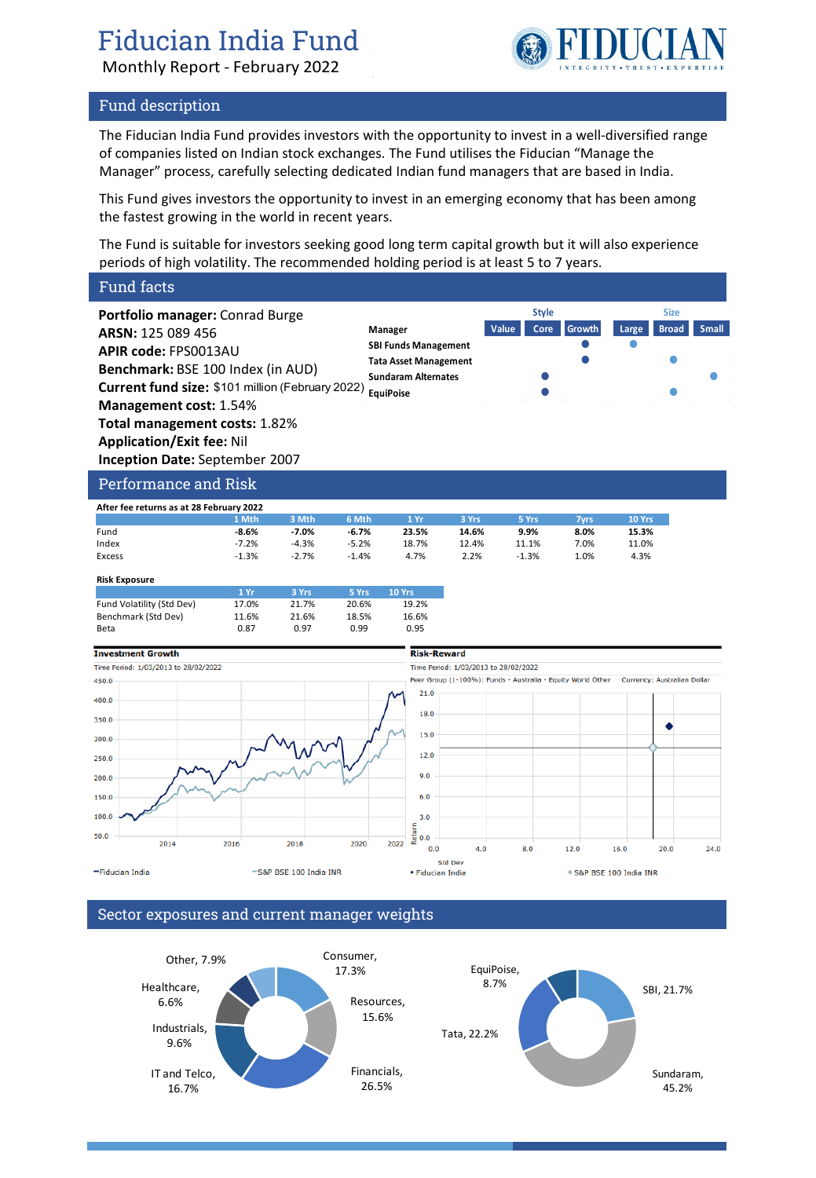# Fiducian India Fund

Monthly Report - February 2022



### Fund description

The Fiducian India Fund provides investors with the opportunity to invest in a well-diversified range of companies listed on Indian stock exchanges. The Fund utilises the Fiducian "Manage the Manager" process, carefully selecting dedicated Indian fund managers that are based in India.

This Fund gives investors the opportunity to invest in an emerging economy that has been among the fastest growing in the world in recent years.

The Fund is suitable for investors seeking good long term capital growth but it will also experience periods of high volatility. The recommended holding period is at least 5 to 7 years.

### Fund facts

**Portfolio manager:** Conrad Burge **ARSN:** 125 089 456 **APIR code:** FPS0013AU **Benchmark:** BSE 100 Index (in AUD) **Current fund size:** \$101 million (February 2022) **Equipoise Canadian Construction Construction Management cost:** 1.54% **Total management costs:** 1.82% **Application/Exit fee:** Nil **Inception Date:** September 2007 **Manager Value Core Growth Large Broad Small SBI Funds Management Tata Asset Management Sundaram Alternates Style Size**

### Performance and Risk

| After fee returns as at 28 February 2022 |         |         |         |       |       |         |      |        |
|------------------------------------------|---------|---------|---------|-------|-------|---------|------|--------|
|                                          | 1 Mth   | 3 Mth   | 6 Mth   | 1 Yr  | 3 Yrs | 5 Yrs   | 7vrs | 10 Yrs |
| Fund                                     | $-8.6%$ | $-7.0%$ | $-6.7%$ | 23.5% | 14.6% | 9.9%    | 8.0% | 15.3%  |
| Index                                    | $-7.2%$ | $-4.3%$ | $-5.2%$ | 18.7% | 12.4% | 11.1%   | 7.0% | 11.0%  |
| Excess                                   | $-1.3%$ | $-2.7%$ | $-1.4%$ | 4.7%  | 2.2%  | $-1.3%$ | 1.0% | 4.3%   |

| <b>Risk Exposure</b>      |       |       |       |               |
|---------------------------|-------|-------|-------|---------------|
|                           | 1Yr   | 3 Yrs | 5 Yrs | <b>10 Yrs</b> |
| Fund Volatility (Std Dev) | 17.0% | 21.7% | 20.6% | 19.2%         |
| Benchmark (Std Dev)       | 11.6% | 21.6% | 18.5% | 16.6%         |
| Beta                      | 0.87  | በ 97  | 0.99  | 0.95          |



### Sector exposures and current manager weights